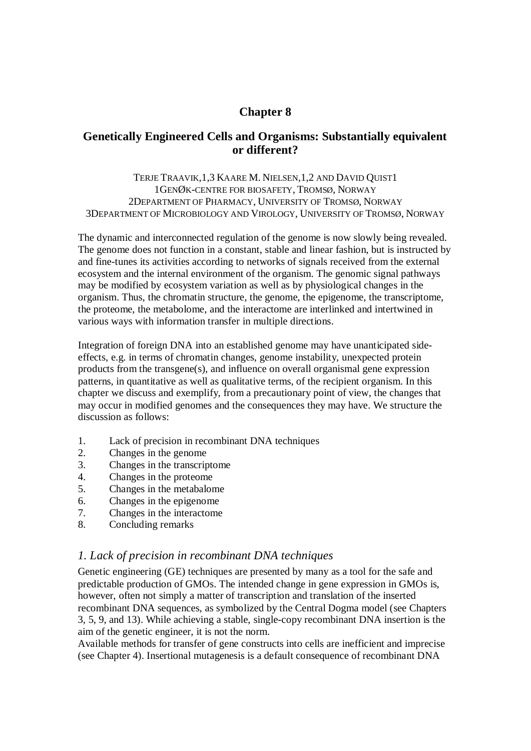# **Chapter 8**

# **Genetically Engineered Cells and Organisms: Substantially equivalent or different?**

TERJE TRAAVIK,1,3 KAARE M. NIELSEN,1,2 AND DAVID QUIST1 1GENØK-CENTRE FOR BIOSAFETY, TROMSØ, NORWAY 2DEPARTMENT OF PHARMACY, UNIVERSITY OF TROMSØ, NORWAY 3DEPARTMENT OF MICROBIOLOGY AND VIROLOGY, UNIVERSITY OF TROMSØ, NORWAY

The dynamic and interconnected regulation of the genome is now slowly being revealed. The genome does not function in a constant, stable and linear fashion, but is instructed by and fine-tunes its activities according to networks of signals received from the external ecosystem and the internal environment of the organism. The genomic signal pathways may be modified by ecosystem variation as well as by physiological changes in the organism. Thus, the chromatin structure, the genome, the epigenome, the transcriptome, the proteome, the metabolome, and the interactome are interlinked and intertwined in various ways with information transfer in multiple directions.

Integration of foreign DNA into an established genome may have unanticipated sideeffects, e.g. in terms of chromatin changes, genome instability, unexpected protein products from the transgene(s), and influence on overall organismal gene expression patterns, in quantitative as well as qualitative terms, of the recipient organism. In this chapter we discuss and exemplify, from a precautionary point of view, the changes that may occur in modified genomes and the consequences they may have. We structure the discussion as follows:

- 1. Lack of precision in recombinant DNA techniques
- 2. Changes in the genome
- 3. Changes in the transcriptome
- 4. Changes in the proteome
- 5. Changes in the metabalome
- 6. Changes in the epigenome
- 7. Changes in the interactome
- 8. Concluding remarks

### *1. Lack of precision in recombinant DNA techniques*

Genetic engineering (GE) techniques are presented by many as a tool for the safe and predictable production of GMOs. The intended change in gene expression in GMOs is, however, often not simply a matter of transcription and translation of the inserted recombinant DNA sequences, as symbolized by the Central Dogma model (see Chapters 3, 5, 9, and 13). While achieving a stable, single-copy recombinant DNA insertion is the aim of the genetic engineer, it is not the norm.

Available methods for transfer of gene constructs into cells are inefficient and imprecise (see Chapter 4). Insertional mutagenesis is a default consequence of recombinant DNA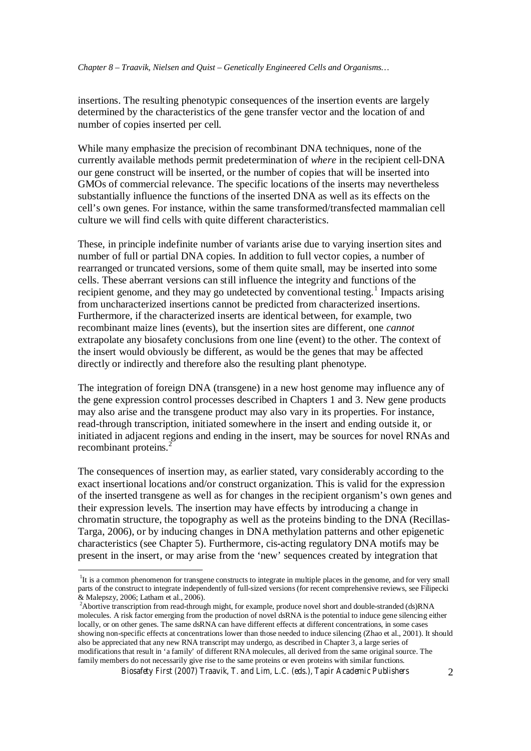insertions. The resulting phenotypic consequences of the insertion events are largely determined by the characteristics of the gene transfer vector and the location of and number of copies inserted per cell.

While many emphasize the precision of recombinant DNA techniques, none of the currently available methods permit predetermination of *where* in the recipient cell-DNA our gene construct will be inserted, or the number of copies that will be inserted into GMOs of commercial relevance. The specific locations of the inserts may nevertheless substantially influence the functions of the inserted DNA as well as its effects on the cell's own genes. For instance, within the same transformed/transfected mammalian cell culture we will find cells with quite different characteristics.

These, in principle indefinite number of variants arise due to varying insertion sites and number of full or partial DNA copies. In addition to full vector copies, a number of rearranged or truncated versions, some of them quite small, may be inserted into some cells. These aberrant versions can still influence the integrity and functions of the recipient genome, and they may go undetected by conventional testing.<sup>1</sup> Impacts arising from uncharacterized insertions cannot be predicted from characterized insertions. Furthermore, if the characterized inserts are identical between, for example, two recombinant maize lines (events), but the insertion sites are different, one *cannot* extrapolate any biosafety conclusions from one line (event) to the other. The context of the insert would obviously be different, as would be the genes that may be affected directly or indirectly and therefore also the resulting plant phenotype.

The integration of foreign DNA (transgene) in a new host genome may influence any of the gene expression control processes described in Chapters 1 and 3. New gene products may also arise and the transgene product may also vary in its properties. For instance, read-through transcription, initiated somewhere in the insert and ending outside it, or initiated in adjacent regions and ending in the insert, may be sources for novel RNAs and recombinant proteins.<sup>2</sup>

The consequences of insertion may, as earlier stated, vary considerably according to the exact insertional locations and/or construct organization. This is valid for the expression of the inserted transgene as well as for changes in the recipient organism's own genes and their expression levels. The insertion may have effects by introducing a change in chromatin structure, the topography as well as the proteins binding to the DNA (Recillas-Targa, 2006), or by inducing changes in DNA methylation patterns and other epigenetic characteristics (see Chapter 5). Furthermore, cis-acting regulatory DNA motifs may be present in the insert, or may arise from the 'new' sequences created by integration that

<sup>&</sup>lt;sup>1</sup>It is a common phenomenon for transgene constructs to integrate in multiple places in the genome, and for very small parts of the construct to integrate independently of full-sized versions (for recent comprehensive reviews, see Filipecki & Malepszy, 2006; Latham et al., 2006).

<sup>2</sup>Abortive transcription from read-through might, for example, produce novel short and double-stranded (ds)RNA molecules. A risk factor emerging from the production of novel dsRNA is the potential to induce gene silencing either locally, or on other genes. The same dsRNA can have different effects at different concentrations, in some cases showing non-specific effects at concentrations lower than those needed to induce silencing (Zhao et al., 2001). It should also be appreciated that any new RNA transcript may undergo, as described in Chapter 3, a large series of modifications that result in 'a family' of different RNA molecules, all derived from the same original source. The family members do not necessarily give rise to the same proteins or even proteins with similar functions.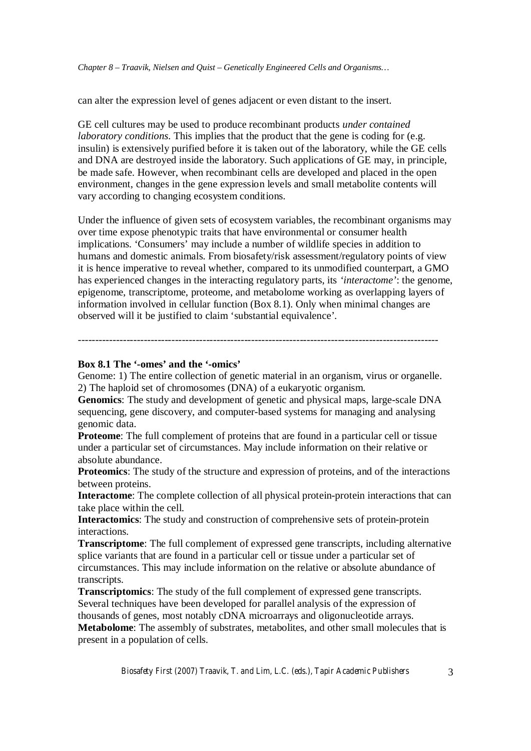can alter the expression level of genes adjacent or even distant to the insert.

GE cell cultures may be used to produce recombinant products *under contained laboratory conditions*. This implies that the product that the gene is coding for (e.g. insulin) is extensively purified before it is taken out of the laboratory, while the GE cells and DNA are destroyed inside the laboratory. Such applications of GE may, in principle, be made safe. However, when recombinant cells are developed and placed in the open environment, changes in the gene expression levels and small metabolite contents will vary according to changing ecosystem conditions.

Under the influence of given sets of ecosystem variables, the recombinant organisms may over time expose phenotypic traits that have environmental or consumer health implications. 'Consumers' may include a number of wildlife species in addition to humans and domestic animals. From biosafety/risk assessment/regulatory points of view it is hence imperative to reveal whether, compared to its unmodified counterpart, a GMO has experienced changes in the interacting regulatory parts, its *'interactome'*: the genome, epigenome, transcriptome, proteome, and metabolome working as overlapping layers of information involved in cellular function (Box 8.1). Only when minimal changes are observed will it be justified to claim 'substantial equivalence'.

#### **Box 8.1 The '-omes' and the '-omics'**

Genome: 1) The entire collection of genetic material in an organism, virus or organelle. 2) The haploid set of chromosomes (DNA) of a eukaryotic organism.

--------------------------------------------------------------------------------------------------------

**Genomics**: The study and development of genetic and physical maps, large-scale DNA sequencing, gene discovery, and computer-based systems for managing and analysing genomic data.

**Proteome**: The full complement of proteins that are found in a particular cell or tissue under a particular set of circumstances. May include information on their relative or absolute abundance.

**Proteomics**: The study of the structure and expression of proteins, and of the interactions between proteins.

**Interactome**: The complete collection of all physical protein-protein interactions that can take place within the cell.

**Interactomics**: The study and construction of comprehensive sets of protein-protein interactions.

**Transcriptome**: The full complement of expressed gene transcripts, including alternative splice variants that are found in a particular cell or tissue under a particular set of circumstances. This may include information on the relative or absolute abundance of transcripts.

**Transcriptomics**: The study of the full complement of expressed gene transcripts. Several techniques have been developed for parallel analysis of the expression of thousands of genes, most notably cDNA microarrays and oligonucleotide arrays. **Metabolome**: The assembly of substrates, metabolites, and other small molecules that is present in a population of cells.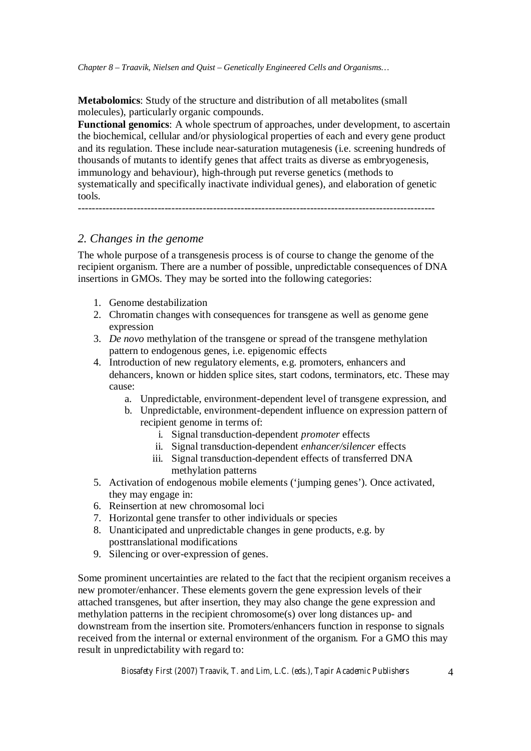**Metabolomics**: Study of the structure and distribution of all metabolites (small molecules), particularly organic compounds.

**Functional genomics**: A whole spectrum of approaches, under development, to ascertain the biochemical, cellular and/or physiological properties of each and every gene product and its regulation. These include near-saturation mutagenesis (i.e. screening hundreds of thousands of mutants to identify genes that affect traits as diverse as embryogenesis, immunology and behaviour), high-through put reverse genetics (methods to systematically and specifically inactivate individual genes), and elaboration of genetic tools.

-------------------------------------------------------------------------------------------------------

# *2. Changes in the genome*

The whole purpose of a transgenesis process is of course to change the genome of the recipient organism. There are a number of possible, unpredictable consequences of DNA insertions in GMOs. They may be sorted into the following categories:

- 1. Genome destabilization
- 2. Chromatin changes with consequences for transgene as well as genome gene expression
- 3. *De novo* methylation of the transgene or spread of the transgene methylation pattern to endogenous genes, i.e. epigenomic effects
- 4. Introduction of new regulatory elements, e.g. promoters, enhancers and dehancers, known or hidden splice sites, start codons, terminators, etc. These may cause:
	- a. Unpredictable, environment-dependent level of transgene expression, and
	- b. Unpredictable, environment-dependent influence on expression pattern of recipient genome in terms of:
		- i. Signal transduction-dependent *promoter* effects
		- ii. Signal transduction-dependent *enhancer/silencer* effects
		- iii. Signal transduction-dependent effects of transferred DNA methylation patterns
- 5. Activation of endogenous mobile elements ('jumping genes'). Once activated, they may engage in:
- 6. Reinsertion at new chromosomal loci
- 7. Horizontal gene transfer to other individuals or species
- 8. Unanticipated and unpredictable changes in gene products, e.g. by posttranslational modifications
- 9. Silencing or over-expression of genes.

Some prominent uncertainties are related to the fact that the recipient organism receives a new promoter/enhancer. These elements govern the gene expression levels of their attached transgenes, but after insertion, they may also change the gene expression and methylation patterns in the recipient chromosome(s) over long distances up- and downstream from the insertion site. Promoters/enhancers function in response to signals received from the internal or external environment of the organism. For a GMO this may result in unpredictability with regard to: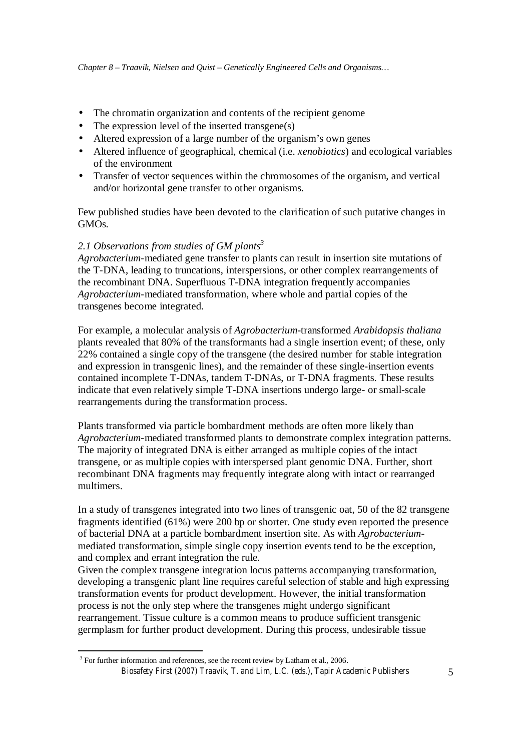- The chromatin organization and contents of the recipient genome
- The expression level of the inserted transgene(s)
- Altered expression of a large number of the organism's own genes
- Altered influence of geographical, chemical (i.e. *xenobiotics*) and ecological variables of the environment
- Transfer of vector sequences within the chromosomes of the organism, and vertical and/or horizontal gene transfer to other organisms.

Few published studies have been devoted to the clarification of such putative changes in GMOs.

### *2.1 Observations from studies of GM plants<sup>3</sup>*

*Agrobacterium*-mediated gene transfer to plants can result in insertion site mutations of the T-DNA, leading to truncations, interspersions, or other complex rearrangements of the recombinant DNA. Superfluous T-DNA integration frequently accompanies *Agrobacterium*-mediated transformation, where whole and partial copies of the transgenes become integrated.

For example, a molecular analysis of *Agrobacterium*-transformed *Arabidopsis thaliana* plants revealed that 80% of the transformants had a single insertion event; of these, only 22% contained a single copy of the transgene (the desired number for stable integration and expression in transgenic lines), and the remainder of these single-insertion events contained incomplete T-DNAs, tandem T-DNAs, or T-DNA fragments. These results indicate that even relatively simple T-DNA insertions undergo large- or small-scale rearrangements during the transformation process.

Plants transformed via particle bombardment methods are often more likely than *Agrobacterium*-mediated transformed plants to demonstrate complex integration patterns. The majority of integrated DNA is either arranged as multiple copies of the intact transgene, or as multiple copies with interspersed plant genomic DNA. Further, short recombinant DNA fragments may frequently integrate along with intact or rearranged multimers.

In a study of transgenes integrated into two lines of transgenic oat, 50 of the 82 transgene fragments identified (61%) were 200 bp or shorter. One study even reported the presence of bacterial DNA at a particle bombardment insertion site. As with *Agrobacterium*mediated transformation, simple single copy insertion events tend to be the exception, and complex and errant integration the rule.

Given the complex transgene integration locus patterns accompanying transformation, developing a transgenic plant line requires careful selection of stable and high expressing transformation events for product development. However, the initial transformation process is not the only step where the transgenes might undergo significant rearrangement. Tissue culture is a common means to produce sufficient transgenic germplasm for further product development. During this process, undesirable tissue

*Biosafety First (2007) Traavik, T. and Lim, L.C. (eds.), Tapir Academic Publishers* 5  $3$  For further information and references, see the recent review by Latham et al., 2006.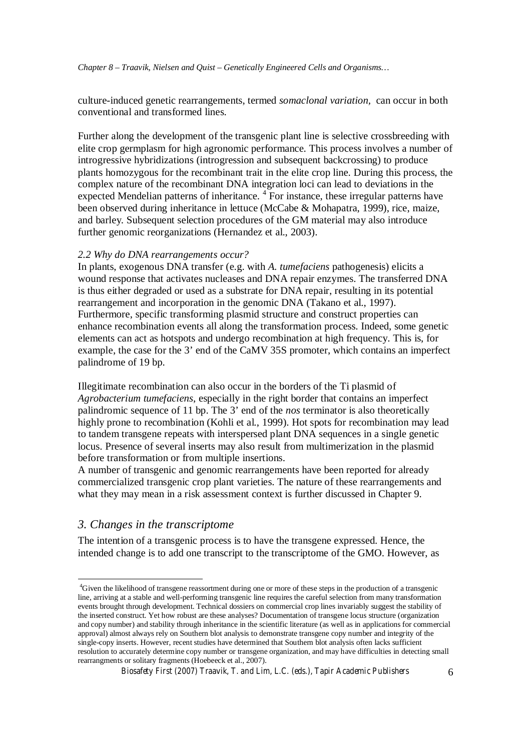culture-induced genetic rearrangements, termed *somaclonal variation,* can occur in both conventional and transformed lines.

Further along the development of the transgenic plant line is selective crossbreeding with elite crop germplasm for high agronomic performance. This process involves a number of introgressive hybridizations (introgression and subsequent backcrossing) to produce plants homozygous for the recombinant trait in the elite crop line. During this process, the complex nature of the recombinant DNA integration loci can lead to deviations in the expected Mendelian patterns of inheritance. <sup>4</sup> For instance, these irregular patterns have been observed during inheritance in lettuce (McCabe & Mohapatra, 1999), rice, maize, and barley. Subsequent selection procedures of the GM material may also introduce further genomic reorganizations (Hernandez et al., 2003).

#### *2.2 Why do DNA rearrangements occur?*

In plants, exogenous DNA transfer (e.g. with *A. tumefaciens* pathogenesis) elicits a wound response that activates nucleases and DNA repair enzymes. The transferred DNA is thus either degraded or used as a substrate for DNA repair, resulting in its potential rearrangement and incorporation in the genomic DNA (Takano et al., 1997). Furthermore, specific transforming plasmid structure and construct properties can enhance recombination events all along the transformation process. Indeed, some genetic elements can act as hotspots and undergo recombination at high frequency. This is, for example, the case for the 3' end of the CaMV 35S promoter, which contains an imperfect palindrome of 19 bp.

Illegitimate recombination can also occur in the borders of the Ti plasmid of *Agrobacterium tumefaciens*, especially in the right border that contains an imperfect palindromic sequence of 11 bp. The 3' end of the *nos* terminator is also theoretically highly prone to recombination (Kohli et al., 1999). Hot spots for recombination may lead to tandem transgene repeats with interspersed plant DNA sequences in a single genetic locus. Presence of several inserts may also result from multimerization in the plasmid before transformation or from multiple insertions.

A number of transgenic and genomic rearrangements have been reported for already commercialized transgenic crop plant varieties. The nature of these rearrangements and what they may mean in a risk assessment context is further discussed in Chapter 9.

## *3. Changes in the transcriptome*

The intention of a transgenic process is to have the transgene expressed. Hence, the intended change is to add one transcript to the transcriptome of the GMO. However, as

<sup>4</sup>Given the likelihood of transgene reassortment during one or more of these steps in the production of a transgenic line, arriving at a stable and well-performing transgenic line requires the careful selection from many transformation events brought through development. Technical dossiers on commercial crop lines invariably suggest the stability of the inserted construct. Yet how robust are these analyses? Documentation of transgene locus structure (organization and copy number) and stability through inheritance in the scientific literature (as well as in applications for commercial approval) almost always rely on Southern blot analysis to demonstrate transgene copy number and integrity of the single-copy inserts. However, recent studies have determined that Southern blot analysis often lacks sufficient resolution to accurately determine copy number or transgene organization, and may have difficulties in detecting small rearrangments or solitary fragments (Hoebeeck et al., 2007).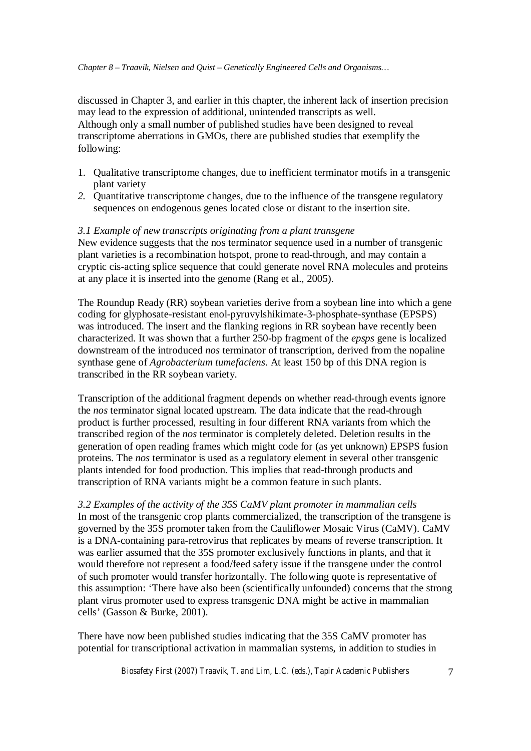discussed in Chapter 3, and earlier in this chapter, the inherent lack of insertion precision may lead to the expression of additional, unintended transcripts as well. Although only a small number of published studies have been designed to reveal transcriptome aberrations in GMOs, there are published studies that exemplify the following:

- 1. Qualitative transcriptome changes, due to inefficient terminator motifs in a transgenic plant variety
- *2.* Quantitative transcriptome changes, due to the influence of the transgene regulatory sequences on endogenous genes located close or distant to the insertion site.

### *3.1 Example of new transcripts originating from a plant transgene*

New evidence suggests that the nos terminator sequence used in a number of transgenic plant varieties is a recombination hotspot, prone to read-through, and may contain a cryptic cis-acting splice sequence that could generate novel RNA molecules and proteins at any place it is inserted into the genome (Rang et al., 2005).

The Roundup Ready (RR) soybean varieties derive from a soybean line into which a gene coding for glyphosate-resistant enol-pyruvylshikimate-3-phosphate-synthase (EPSPS) was introduced. The insert and the flanking regions in RR soybean have recently been characterized. It was shown that a further 250-bp fragment of the *epsps* gene is localized downstream of the introduced *nos* terminator of transcription, derived from the nopaline synthase gene of *Agrobacterium tumefaciens*. At least 150 bp of this DNA region is transcribed in the RR soybean variety.

Transcription of the additional fragment depends on whether read-through events ignore the *nos* terminator signal located upstream. The data indicate that the read-through product is further processed, resulting in four different RNA variants from which the transcribed region of the *nos* terminator is completely deleted. Deletion results in the generation of open reading frames which might code for (as yet unknown) EPSPS fusion proteins. The *nos* terminator is used as a regulatory element in several other transgenic plants intended for food production. This implies that read-through products and transcription of RNA variants might be a common feature in such plants.

*3.2 Examples of the activity of the 35S CaMV plant promoter in mammalian cells* In most of the transgenic crop plants commercialized, the transcription of the transgene is governed by the 35S promoter taken from the Cauliflower Mosaic Virus (CaMV). CaMV is a DNA-containing para-retrovirus that replicates by means of reverse transcription. It was earlier assumed that the 35S promoter exclusively functions in plants, and that it would therefore not represent a food/feed safety issue if the transgene under the control of such promoter would transfer horizontally. The following quote is representative of this assumption: 'There have also been (scientifically unfounded) concerns that the strong plant virus promoter used to express transgenic DNA might be active in mammalian cells' (Gasson & Burke, 2001).

There have now been published studies indicating that the 35S CaMV promoter has potential for transcriptional activation in mammalian systems, in addition to studies in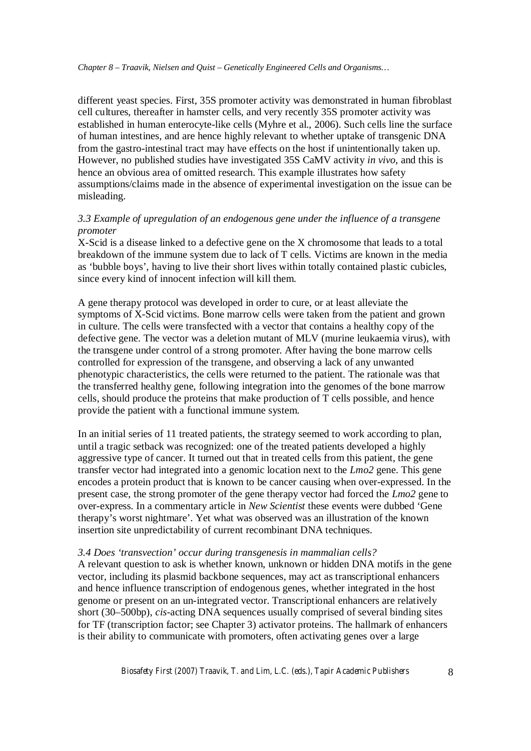different yeast species. First, 35S promoter activity was demonstrated in human fibroblast cell cultures, thereafter in hamster cells, and very recently 35S promoter activity was established in human enterocyte-like cells (Myhre et al., 2006). Such cells line the surface of human intestines, and are hence highly relevant to whether uptake of transgenic DNA from the gastro-intestinal tract may have effects on the host if unintentionally taken up. However, no published studies have investigated 35S CaMV activity *in vivo*, and this is hence an obvious area of omitted research. This example illustrates how safety assumptions/claims made in the absence of experimental investigation on the issue can be misleading.

### *3.3 Example of upregulation of an endogenous gene under the influence of a transgene promoter*

X-Scid is a disease linked to a defective gene on the X chromosome that leads to a total breakdown of the immune system due to lack of T cells. Victims are known in the media as 'bubble boys', having to live their short lives within totally contained plastic cubicles, since every kind of innocent infection will kill them.

A gene therapy protocol was developed in order to cure, or at least alleviate the symptoms of X-Scid victims. Bone marrow cells were taken from the patient and grown in culture. The cells were transfected with a vector that contains a healthy copy of the defective gene. The vector was a deletion mutant of MLV (murine leukaemia virus), with the transgene under control of a strong promoter. After having the bone marrow cells controlled for expression of the transgene, and observing a lack of any unwanted phenotypic characteristics, the cells were returned to the patient. The rationale was that the transferred healthy gene, following integration into the genomes of the bone marrow cells, should produce the proteins that make production of T cells possible, and hence provide the patient with a functional immune system.

In an initial series of 11 treated patients, the strategy seemed to work according to plan, until a tragic setback was recognized: one of the treated patients developed a highly aggressive type of cancer. It turned out that in treated cells from this patient, the gene transfer vector had integrated into a genomic location next to the *Lmo2* gene. This gene encodes a protein product that is known to be cancer causing when over-expressed. In the present case, the strong promoter of the gene therapy vector had forced the *Lmo2* gene to over-express. In a commentary article in *New Scientist* these events were dubbed 'Gene therapy's worst nightmare'. Yet what was observed was an illustration of the known insertion site unpredictability of current recombinant DNA techniques.

#### *3.4 Does 'transvection' occur during transgenesis in mammalian cells?*

A relevant question to ask is whether known, unknown or hidden DNA motifs in the gene vector, including its plasmid backbone sequences, may act as transcriptional enhancers and hence influence transcription of endogenous genes, whether integrated in the host genome or present on an un-integrated vector. Transcriptional enhancers are relatively short (30–500bp), *cis*-acting DNA sequences usually comprised of several binding sites for TF (transcription factor; see Chapter 3) activator proteins. The hallmark of enhancers is their ability to communicate with promoters, often activating genes over a large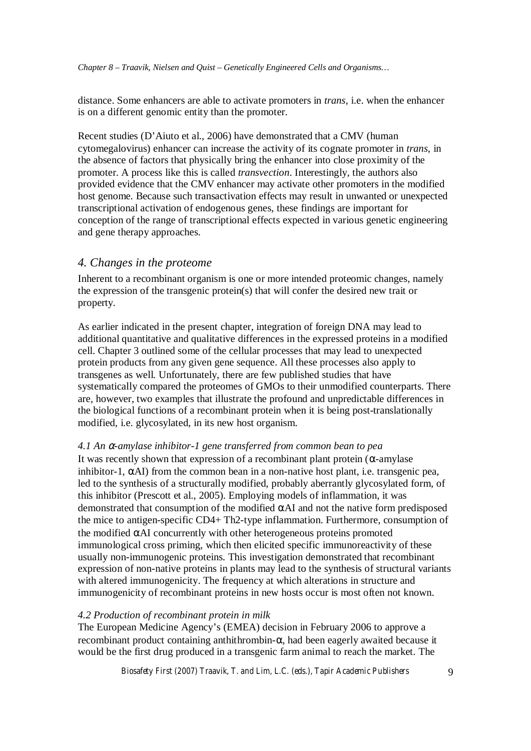distance. Some enhancers are able to activate promoters in *trans*, i.e. when the enhancer is on a different genomic entity than the promoter.

Recent studies (D'Aiuto et al., 2006) have demonstrated that a CMV (human cytomegalovirus) enhancer can increase the activity of its cognate promoter in *trans*, in the absence of factors that physically bring the enhancer into close proximity of the promoter. A process like this is called *transvection*. Interestingly, the authors also provided evidence that the CMV enhancer may activate other promoters in the modified host genome. Because such transactivation effects may result in unwanted or unexpected transcriptional activation of endogenous genes, these findings are important for conception of the range of transcriptional effects expected in various genetic engineering and gene therapy approaches.

### *4. Changes in the proteome*

Inherent to a recombinant organism is one or more intended proteomic changes, namely the expression of the transgenic protein(s) that will confer the desired new trait or property.

As earlier indicated in the present chapter, integration of foreign DNA may lead to additional quantitative and qualitative differences in the expressed proteins in a modified cell. Chapter 3 outlined some of the cellular processes that may lead to unexpected protein products from any given gene sequence. All these processes also apply to transgenes as well. Unfortunately, there are few published studies that have systematically compared the proteomes of GMOs to their unmodified counterparts. There are, however, two examples that illustrate the profound and unpredictable differences in the biological functions of a recombinant protein when it is being post-translationally modified, i.e. glycosylated, in its new host organism.

#### *4.1 An* <sup>α</sup>*-amylase inhibitor-1 gene transferred from common bean to pea*

It was recently shown that expression of a recombinant plant protein ( $\alpha$ -amylase inhibitor-1,  $\alpha$ AI) from the common bean in a non-native host plant, i.e. transgenic pea, led to the synthesis of a structurally modified, probably aberrantly glycosylated form, of this inhibitor (Prescott et al., 2005). Employing models of inflammation, it was demonstrated that consumption of the modified αAI and not the native form predisposed the mice to antigen-specific CD4+ Th2-type inflammation. Furthermore, consumption of the modified  $\alpha$ AI concurrently with other heterogeneous proteins promoted immunological cross priming, which then elicited specific immunoreactivity of these usually non-immunogenic proteins. This investigation demonstrated that recombinant expression of non-native proteins in plants may lead to the synthesis of structural variants with altered immunogenicity. The frequency at which alterations in structure and immunogenicity of recombinant proteins in new hosts occur is most often not known.

#### *4.2 Production of recombinant protein in milk*

The European Medicine Agency's (EMEA) decision in February 2006 to approve a recombinant product containing anthithrombin-α, had been eagerly awaited because it would be the first drug produced in a transgenic farm animal to reach the market. The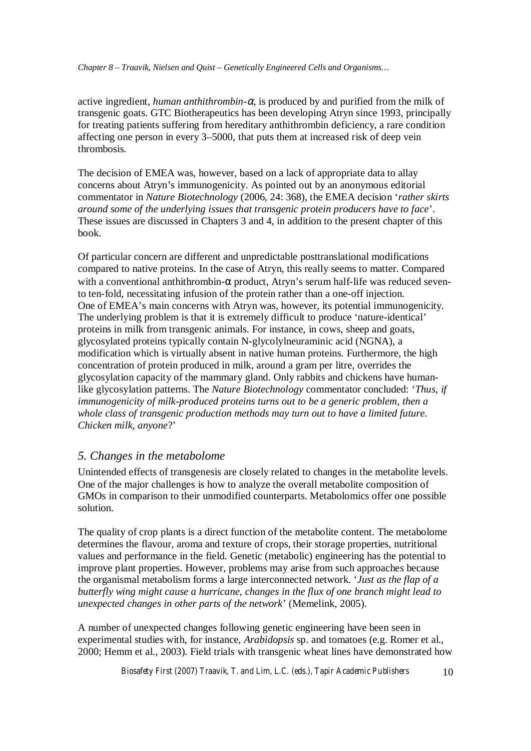active ingredient, *human anthithrombin-* $\alpha$ , is produced by and purified from the milk of transgenic goats. GTC Biotherapeutics has been developing Atryn since 1993, principally for treating patients suffering from hereditary anthithrombin deficiency, a rare condition affecting one person in every 3–5000, that puts them at increased risk of deep vein thrombosis.

The decision of EMEA was, however, based on a lack of appropriate data to allay concerns about Atryn's immunogenicity. As pointed out by an anonymous editorial commentator in *Nature Biotechnology* (2006, 24: 368), the EMEA decision '*rather skirts around some of the underlying issues that transgenic protein producers have to face*'. These issues are discussed in Chapters 3 and 4, in addition to the present chapter of this book.

Of particular concern are different and unpredictable posttranslational modifications compared to native proteins. In the case of Atryn, this really seems to matter. Compared with a conventional anthithrombin-α product, Atryn's serum half-life was reduced sevento ten-fold, necessitating infusion of the protein rather than a one-off injection. One of EMEA's main concerns with Atryn was, however, its potential immunogenicity. The underlying problem is that it is extremely difficult to produce 'nature-identical' proteins in milk from transgenic animals. For instance, in cows, sheep and goats, glycosylated proteins typically contain N-glycolylneuraminic acid (NGNA), a modification which is virtually absent in native human proteins. Furthermore, the high concentration of protein produced in milk, around a gram per litre, overrides the glycosylation capacity of the mammary gland. Only rabbits and chickens have humanlike glycosylation patterns. The *Nature Biotechnology* commentator concluded: '*Thus, if immunogenicity of milk-produced proteins turns out to be a generic problem, then a whole class of transgenic production methods may turn out to have a limited future. Chicken milk, anyone*?'

## *5. Changes in the metabolome*

Unintended effects of transgenesis are closely related to changes in the metabolite levels. One of the major challenges is how to analyze the overall metabolite composition of GMOs in comparison to their unmodified counterparts. Metabolomics offer one possible solution.

The quality of crop plants is a direct function of the metabolite content. The metabolome determines the flavour, aroma and texture of crops, their storage properties, nutritional values and performance in the field. Genetic (metabolic) engineering has the potential to improve plant properties. However, problems may arise from such approaches because the organismal metabolism forms a large interconnected network. '*Just as the flap of a butterfly wing might cause a hurricane, changes in the flux of one branch might lead to unexpected changes in other parts of the network*' (Memelink, 2005).

A number of unexpected changes following genetic engineering have been seen in experimental studies with, for instance, *Arabidopsis* sp. and tomatoes (e.g. Romer et al., 2000; Hemm et al., 2003). Field trials with transgenic wheat lines have demonstrated how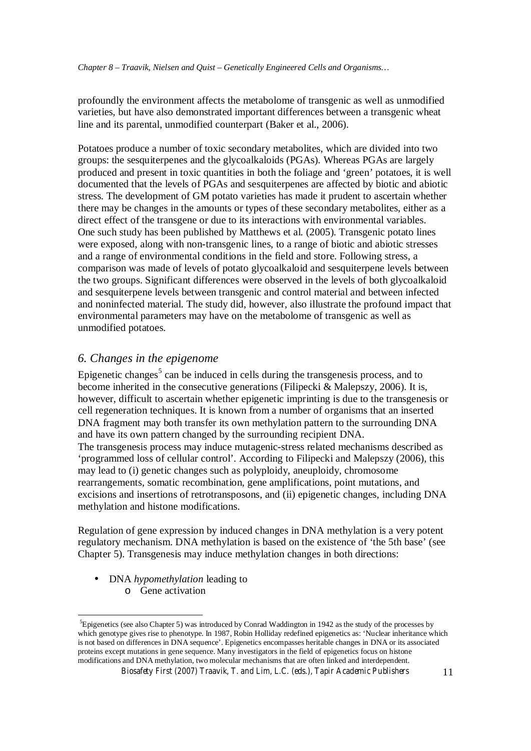profoundly the environment affects the metabolome of transgenic as well as unmodified varieties, but have also demonstrated important differences between a transgenic wheat line and its parental, unmodified counterpart (Baker et al., 2006).

Potatoes produce a number of toxic secondary metabolites, which are divided into two groups: the sesquiterpenes and the glycoalkaloids (PGAs). Whereas PGAs are largely produced and present in toxic quantities in both the foliage and 'green' potatoes, it is well documented that the levels of PGAs and sesquiterpenes are affected by biotic and abiotic stress. The development of GM potato varieties has made it prudent to ascertain whether there may be changes in the amounts or types of these secondary metabolites, either as a direct effect of the transgene or due to its interactions with environmental variables. One such study has been published by Matthews et al. (2005). Transgenic potato lines were exposed, along with non-transgenic lines, to a range of biotic and abiotic stresses and a range of environmental conditions in the field and store. Following stress, a comparison was made of levels of potato glycoalkaloid and sesquiterpene levels between the two groups. Significant differences were observed in the levels of both glycoalkaloid and sesquiterpene levels between transgenic and control material and between infected and noninfected material. The study did, however, also illustrate the profound impact that environmental parameters may have on the metabolome of transgenic as well as unmodified potatoes.

## *6. Changes in the epigenome*

Epigenetic changes<sup>5</sup> can be induced in cells during the transgenesis process, and to become inherited in the consecutive generations (Filipecki & Malepszy, 2006). It is, however, difficult to ascertain whether epigenetic imprinting is due to the transgenesis or cell regeneration techniques. It is known from a number of organisms that an inserted DNA fragment may both transfer its own methylation pattern to the surrounding DNA and have its own pattern changed by the surrounding recipient DNA. The transgenesis process may induce mutagenic-stress related mechanisms described as 'programmed loss of cellular control'. According to Filipecki and Malepszy (2006), this may lead to (i) genetic changes such as polyploidy, aneuploidy, chromosome rearrangements, somatic recombination, gene amplifications, point mutations, and excisions and insertions of retrotransposons, and (ii) epigenetic changes, including DNA methylation and histone modifications.

Regulation of gene expression by induced changes in DNA methylation is a very potent regulatory mechanism. DNA methylation is based on the existence of 'the 5th base' (see Chapter 5). Transgenesis may induce methylation changes in both directions:

• DNA *hypomethylation* leading to o Gene activation

<sup>5</sup> Epigenetics (see also Chapter 5) was introduced by Conrad Waddington in 1942 as the study of the processes by which genotype gives rise to phenotype. In 1987, Robin Holliday redefined epigenetics as: 'Nuclear inheritance which is not based on differences in DNA sequence'. Epigenetics encompasses heritable changes in DNA or its associated proteins except mutations in gene sequence. Many investigators in the field of epigenetics focus on histone modifications and DNA methylation, two molecular mechanisms that are often linked and interdependent.

*Biosafety First (2007) Traavik, T. and Lim, L.C. (eds.), Tapir Academic Publishers* 11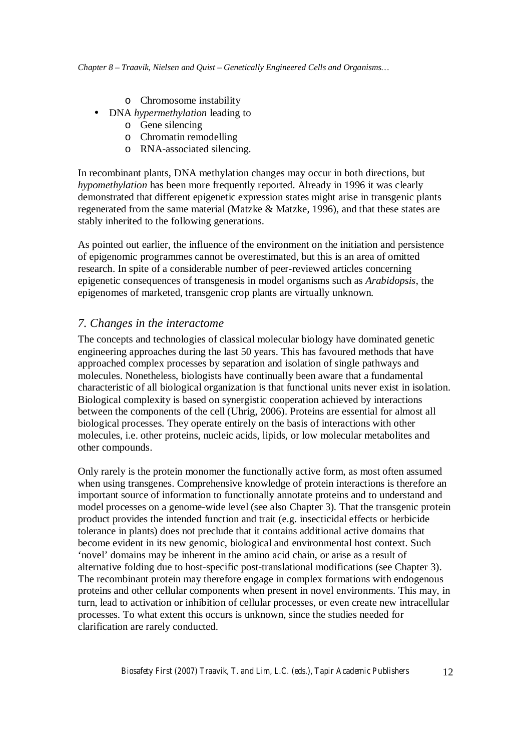- o Chromosome instability
- DNA *hypermethylation* leading to
	- o Gene silencing
	- o Chromatin remodelling
	- o RNA-associated silencing.

In recombinant plants, DNA methylation changes may occur in both directions, but *hypomethylation* has been more frequently reported. Already in 1996 it was clearly demonstrated that different epigenetic expression states might arise in transgenic plants regenerated from the same material (Matzke & Matzke, 1996), and that these states are stably inherited to the following generations.

As pointed out earlier, the influence of the environment on the initiation and persistence of epigenomic programmes cannot be overestimated, but this is an area of omitted research. In spite of a considerable number of peer-reviewed articles concerning epigenetic consequences of transgenesis in model organisms such as *Arabidopsis*, the epigenomes of marketed, transgenic crop plants are virtually unknown.

# *7. Changes in the interactome*

The concepts and technologies of classical molecular biology have dominated genetic engineering approaches during the last 50 years. This has favoured methods that have approached complex processes by separation and isolation of single pathways and molecules. Nonetheless, biologists have continually been aware that a fundamental characteristic of all biological organization is that functional units never exist in isolation. Biological complexity is based on synergistic cooperation achieved by interactions between the components of the cell (Uhrig, 2006). Proteins are essential for almost all biological processes. They operate entirely on the basis of interactions with other molecules, i.e. other proteins, nucleic acids, lipids, or low molecular metabolites and other compounds.

Only rarely is the protein monomer the functionally active form, as most often assumed when using transgenes. Comprehensive knowledge of protein interactions is therefore an important source of information to functionally annotate proteins and to understand and model processes on a genome-wide level (see also Chapter 3). That the transgenic protein product provides the intended function and trait (e.g. insecticidal effects or herbicide tolerance in plants) does not preclude that it contains additional active domains that become evident in its new genomic, biological and environmental host context. Such 'novel' domains may be inherent in the amino acid chain, or arise as a result of alternative folding due to host-specific post-translational modifications (see Chapter 3). The recombinant protein may therefore engage in complex formations with endogenous proteins and other cellular components when present in novel environments. This may, in turn, lead to activation or inhibition of cellular processes, or even create new intracellular processes. To what extent this occurs is unknown, since the studies needed for clarification are rarely conducted.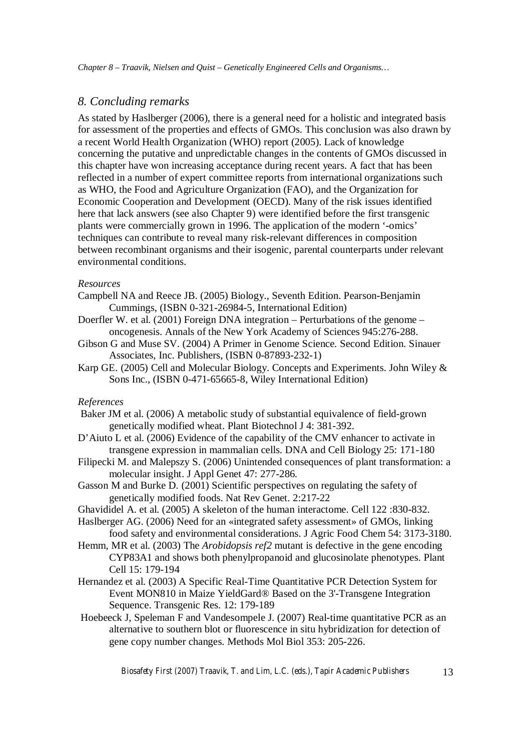### *8. Concluding remarks*

As stated by Haslberger (2006), there is a general need for a holistic and integrated basis for assessment of the properties and effects of GMOs. This conclusion was also drawn by a recent World Health Organization (WHO) report (2005). Lack of knowledge concerning the putative and unpredictable changes in the contents of GMOs discussed in this chapter have won increasing acceptance during recent years. A fact that has been reflected in a number of expert committee reports from international organizations such as WHO, the Food and Agriculture Organization (FAO), and the Organization for Economic Cooperation and Development (OECD). Many of the risk issues identified here that lack answers (see also Chapter 9) were identified before the first transgenic plants were commercially grown in 1996. The application of the modern '-omics' techniques can contribute to reveal many risk-relevant differences in composition between recombinant organisms and their isogenic, parental counterparts under relevant environmental conditions.

#### *Resources*

- Campbell NA and Reece JB. (2005) Biology., Seventh Edition. Pearson-Benjamin Cummings, (ISBN 0-321-26984-5, International Edition)
- Doerfler W. et al. (2001) Foreign DNA integration Perturbations of the genome oncogenesis. Annals of the New York Academy of Sciences 945:276-288.
- Gibson G and Muse SV. (2004) A Primer in Genome Science. Second Edition. Sinauer Associates, Inc. Publishers, (ISBN 0-87893-232-1)
- Karp GE. (2005) Cell and Molecular Biology. Concepts and Experiments. John Wiley & Sons Inc., (ISBN 0-471-65665-8, Wiley International Edition)

#### *References*

- Baker JM et al. (2006) A metabolic study of substantial equivalence of field-grown genetically modified wheat. Plant Biotechnol J 4: 381-392.
- D'Aiuto L et al. (2006) Evidence of the capability of the CMV enhancer to activate in transgene expression in mammalian cells. DNA and Cell Biology 25: 171-180
- Filipecki M. and Malepszy S. (2006) Unintended consequences of plant transformation: a molecular insight. J Appl Genet 47: 277-286.
- Gasson M and Burke D. (2001) Scientific perspectives on regulating the safety of genetically modified foods. Nat Rev Genet. 2:217-22
- Ghavididel A. et al. (2005) A skeleton of the human interactome. Cell 122 :830-832.
- Haslberger AG. (2006) Need for an «integrated safety assessment» of GMOs, linking food safety and environmental considerations. J Agric Food Chem 54: 3173-3180.
- Hemm, MR et al. (2003) The *Arobidopsis ref2* mutant is defective in the gene encoding CYP83A1 and shows both phenylpropanoid and glucosinolate phenotypes. Plant Cell 15: 179-194
- Hernandez et al. (2003) A Specific Real-Time Quantitative PCR Detection System for Event MON810 in Maize YieldGard® Based on the 3'-Transgene Integration Sequence. Transgenic Res. 12: 179-189
- Hoebeeck J, Speleman F and Vandesompele J. (2007) Real-time quantitative PCR as an alternative to southern blot or fluorescence in situ hybridization for detection of gene copy number changes. Methods Mol Biol 353: 205-226.